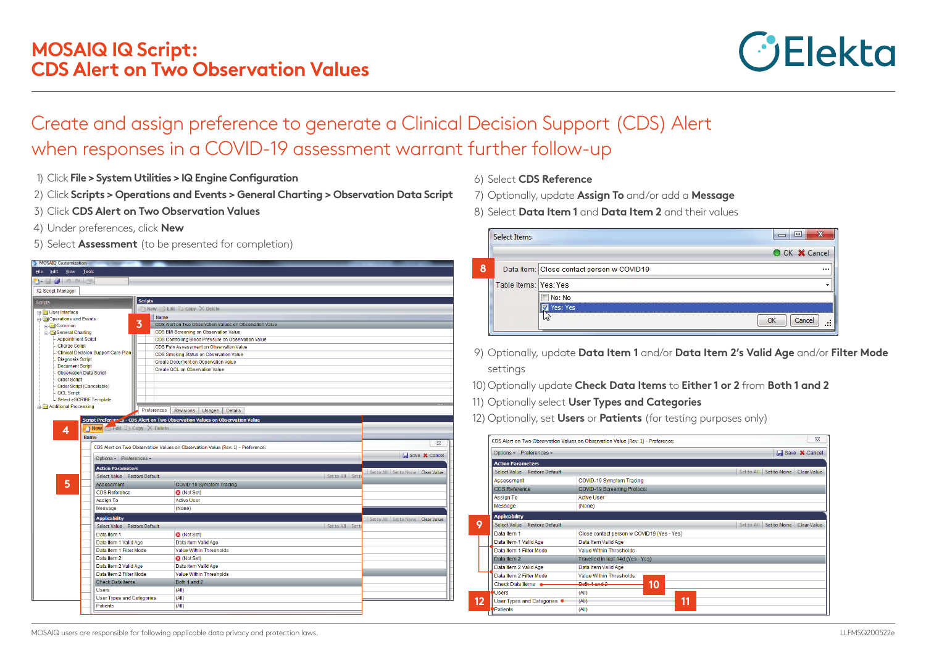

## Create and assign preference to generate a Clinical Decision Support (CDS) Alert when responses in a COVID-19 assessment warrant further follow-up

- 1) Click **File > System Utilities > IQ Engine Configuration**
- 2) Click **Scripts > Operations and Events > General Charting > Observation Data Script**
- 3) Click **CDS Alert on Two Observation Values**
- 4) Under preferences, click **New**
- 5) Select **Assessment** (to be presented for completion)

| <b>MOSAIQ Customization</b><br>File Edit View Tools |                                              |                                                                                               |                   |                                        |
|-----------------------------------------------------|----------------------------------------------|-----------------------------------------------------------------------------------------------|-------------------|----------------------------------------|
| $1 - 9 - 9 - 9$                                     |                                              |                                                                                               |                   |                                        |
| IQ Script Manager                                   |                                              |                                                                                               |                   |                                        |
|                                                     |                                              |                                                                                               |                   |                                        |
| <b>Scripts</b>                                      | <b>Scripts</b>                               | New Sedit Copy X Delete                                                                       |                   |                                        |
| <b>B</b> -Congress User Interface                   |                                              |                                                                                               |                   |                                        |
| Operations and Events                               | 3                                            | Name                                                                                          |                   |                                        |
| <b>Common</b>                                       |                                              | CDS Alert on Two Observation Values on Observation Value                                      |                   |                                        |
| General Charting<br>- Appointment Script            |                                              | CDS BMI Screening on Observation Value<br>CDS Controlling Blood Pressure on Observation Value |                   |                                        |
| <b>Charge Script</b>                                |                                              | CDS Pain Assessment on Observation Value                                                      |                   |                                        |
| <b>Clinical Decision Support Care Plan</b>          |                                              | CDS Smoking Status on Observation Value                                                       |                   |                                        |
| <b>Diagnosis Script</b>                             |                                              | Create Document on Observation Value                                                          |                   |                                        |
| Document Script                                     |                                              | Create QCL on Observation Value                                                               |                   |                                        |
| <b>Observation Data Script</b>                      |                                              |                                                                                               |                   |                                        |
| <b>Order Script</b>                                 |                                              |                                                                                               |                   |                                        |
| Order Script (Cancelable)                           |                                              |                                                                                               |                   |                                        |
| <b>QCL Script</b><br>Select eSCRIBE Template        |                                              |                                                                                               |                   |                                        |
| Additional Processing                               |                                              |                                                                                               |                   |                                        |
|                                                     |                                              | Preferences<br><b>Revisions</b><br>Usages<br><b>Details</b>                                   |                   |                                        |
|                                                     |                                              | Script Preferonces - CDS Alert on Two Observation Values on Observation Value                 |                   |                                        |
|                                                     | New Edit Copy X Delete                       |                                                                                               |                   |                                        |
| 4<br><b>Name</b>                                    |                                              |                                                                                               |                   |                                        |
|                                                     |                                              |                                                                                               |                   | $\Sigma$                               |
|                                                     |                                              | CDS Alert on Two Observation Values on Observation Value (Rev: 1) - Preference:               |                   |                                        |
|                                                     | Options - Preferences -                      |                                                                                               |                   | Save <b>X</b> Cancel                   |
|                                                     | <b>Action Parameters</b>                     |                                                                                               |                   | Set to All   Set to None   Clear Value |
|                                                     | Select Value Restore Default                 |                                                                                               | Set to All Set to |                                        |
| 5                                                   | <b>Assessment</b>                            | COVID-19 Symptom Tracing                                                                      |                   |                                        |
|                                                     | CDS Reference                                | <b>3</b> (Not Set)                                                                            |                   |                                        |
|                                                     | Assign To                                    | <b>Active User</b>                                                                            |                   |                                        |
|                                                     | Message                                      | (None)                                                                                        |                   |                                        |
|                                                     | <b>Applicability</b>                         |                                                                                               |                   | Set to All Set to None Clear Value     |
|                                                     | Select Value Restore Default                 |                                                                                               | Set to All Set to |                                        |
|                                                     | Data Item 1                                  | <b>3</b> (Not Set)                                                                            |                   |                                        |
|                                                     | Data Item 1 Valid Age                        | Data Item Valid Age                                                                           |                   |                                        |
|                                                     | Data Item 1 Filter Mode                      | <b>Value Within Thresholds</b>                                                                |                   |                                        |
|                                                     | Data Item 2                                  | <b>3</b> (Not Set)                                                                            |                   |                                        |
|                                                     | Data Item 2 Valid Age                        | Data Item Valid Age                                                                           |                   |                                        |
|                                                     | Data Item 2 Filter Mode                      | Value Within Thresholds                                                                       |                   |                                        |
|                                                     | <b>Check Data Items</b>                      | Both 1 and 2                                                                                  |                   |                                        |
|                                                     | <b>Users</b>                                 | (AII)                                                                                         |                   |                                        |
|                                                     |                                              |                                                                                               |                   |                                        |
|                                                     | <b>User Types and Categories</b><br>Patients | (AII)<br>(AII)                                                                                |                   |                                        |
|                                                     |                                              |                                                                                               |                   |                                        |
|                                                     |                                              |                                                                                               |                   |                                        |

- 6) Select **CDS Reference**
- 7) Optionally, update **Assign To** and/or add a **Message**
- 8) Select **Data Item 1** and **Data Item 2** and their values

|   | <b>Select Items</b>   | $\overline{\mathbf{x}}$<br>$\Box$<br>$\Box$           |
|---|-----------------------|-------------------------------------------------------|
|   |                       | O OK X Cancel                                         |
| 8 |                       | Data Item: Close contact person w COVID19<br>$\cdots$ |
|   | Table Items: Yes: Yes |                                                       |
|   |                       | No: No                                                |
|   |                       | Yes: Yes                                              |
|   |                       | Cancel<br>٠<br><br>$\cdots$                           |
|   |                       |                                                       |

- 9) Optionally, update **Data Item 1** and/or **Data Item 2's Valid Age** and/or **Filter Mode** settings
- 10) Optionally update **Check Data Items** to **Either 1 or 2** from **Both 1 and 2**
- 11) Optionally select **User Types and Categories**
- 12) Optionally, set **Users** or **Patients** (for testing purposes only)